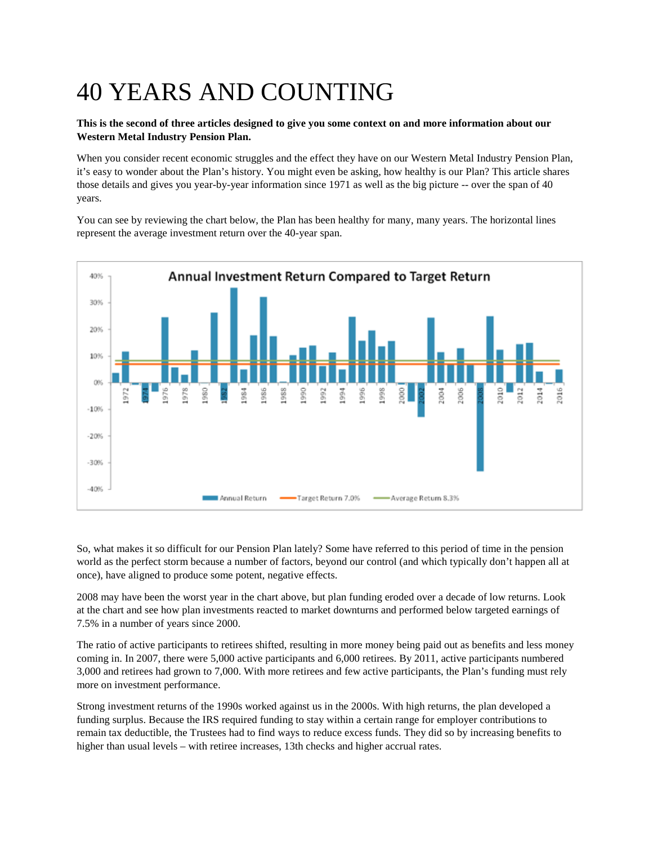## 40 YEARS AND COUNTING

## **This is the second of three articles designed to give you some context on and more information about our Western Metal Industry Pension Plan.**

When you consider recent economic struggles and the effect they have on our Western Metal Industry Pension Plan, it's easy to wonder about the Plan's history. You might even be asking, how healthy is our Plan? This article shares those details and gives you year-by-year information since 1971 as well as the big picture -- over the span of 40 years.

You can see by reviewing the chart below, the Plan has been healthy for many, many years. The horizontal lines represent the average investment return over the 40-year span.



So, what makes it so difficult for our Pension Plan lately? Some have referred to this period of time in the pension world as the perfect storm because a number of factors, beyond our control (and which typically don't happen all at once), have aligned to produce some potent, negative effects.

2008 may have been the worst year in the chart above, but plan funding eroded over a decade of low returns. Look at the chart and see how plan investments reacted to market downturns and performed below targeted earnings of 7.5% in a number of years since 2000.

The ratio of active participants to retirees shifted, resulting in more money being paid out as benefits and less money coming in. In 2007, there were 5,000 active participants and 6,000 retirees. By 2011, active participants numbered 3,000 and retirees had grown to 7,000. With more retirees and few active participants, the Plan's funding must rely more on investment performance.

Strong investment returns of the 1990s worked against us in the 2000s. With high returns, the plan developed a funding surplus. Because the IRS required funding to stay within a certain range for employer contributions to remain tax deductible, the Trustees had to find ways to reduce excess funds. They did so by increasing benefits to higher than usual levels – with retiree increases, 13th checks and higher accrual rates.